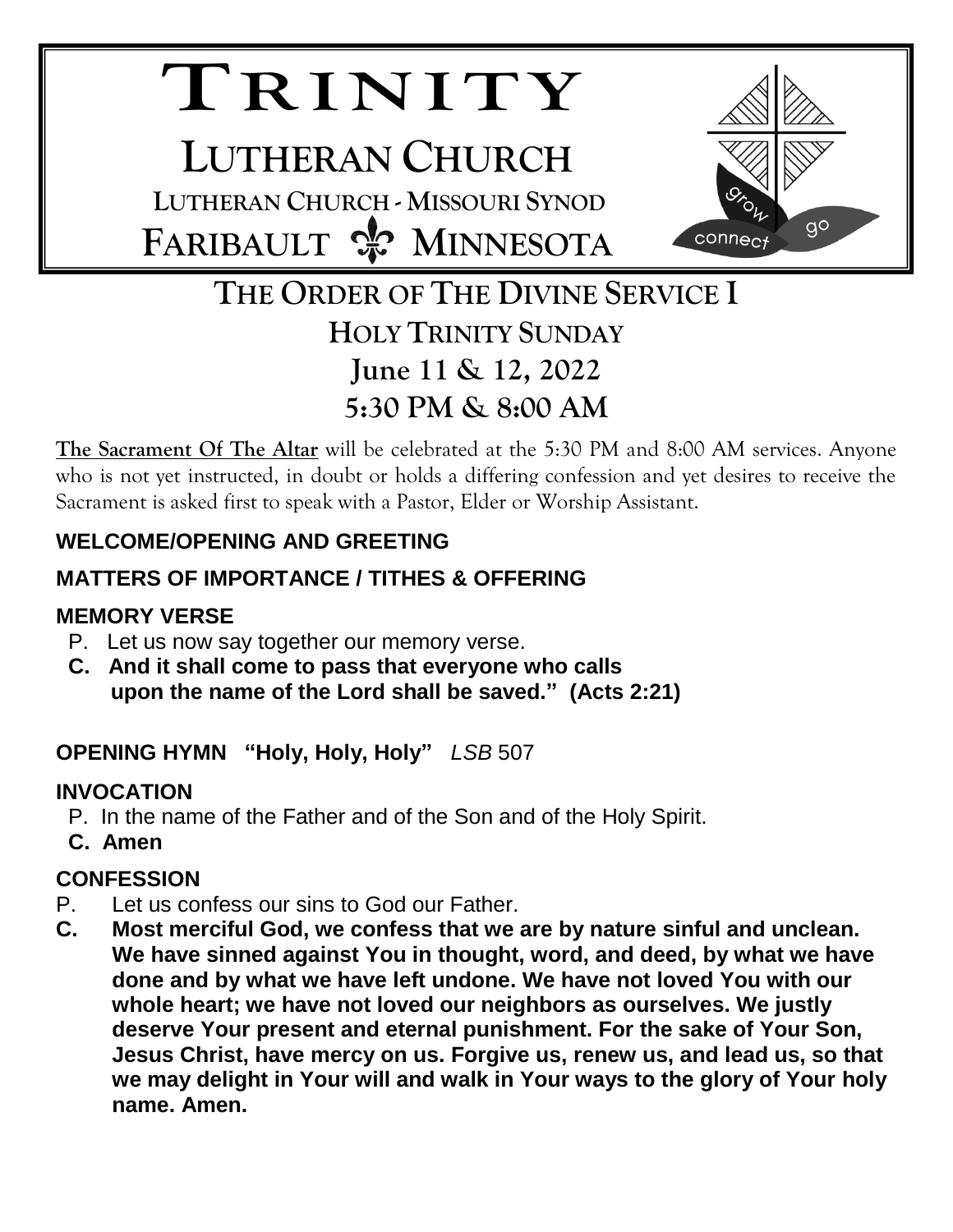# **TR I N I T Y**

**LUTHERAN CHURCH LUTHERAN CHURCH - MISSOURI SYNOD FARIBAULT & MINNESOTA** 



## **THE ORDER OF THE DIVINE SERVICE I HOLY TRINITY SUNDAY June 11 & 12, 2022 5:30 PM & 8:00 AM**

**The Sacrament Of The Altar** will be celebrated at the 5:30 PM and 8:00 AM services. Anyone who is not yet instructed, in doubt or holds a differing confession and yet desires to receive the Sacrament is asked first to speak with a Pastor, Elder or Worship Assistant.

## **WELCOME/OPENING AND GREETING**

## **MATTERS OF IMPORTANCE / TITHES & OFFERING**

## **MEMORY VERSE**

- P. Let us now say together our memory verse.
- **C. And it shall come to pass that everyone who calls upon the name of the Lord shall be saved." (Acts 2:21)**

**OPENING HYMN "Holy, Holy, Holy"** *LSB* 507

## **INVOCATION**

- P. In the name of the Father and of the Son and of the Holy Spirit.
- **C. Amen**

## **CONFESSION**

- P. Let us confess our sins to God our Father.
- **C. Most merciful God, we confess that we are by nature sinful and unclean. We have sinned against You in thought, word, and deed, by what we have done and by what we have left undone. We have not loved You with our whole heart; we have not loved our neighbors as ourselves. We justly deserve Your present and eternal punishment. For the sake of Your Son, Jesus Christ, have mercy on us. Forgive us, renew us, and lead us, so that we may delight in Your will and walk in Your ways to the glory of Your holy name. Amen.**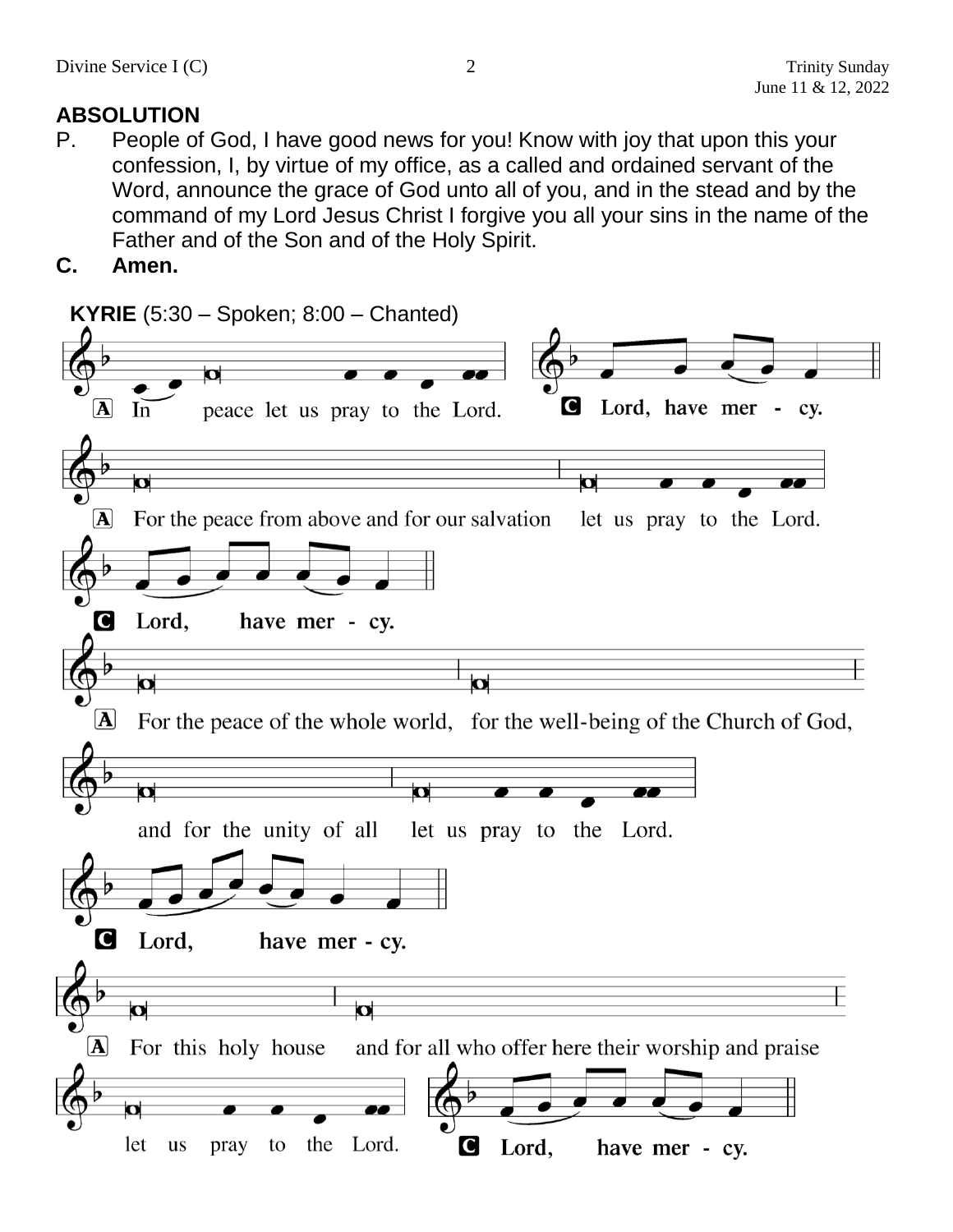## **ABSOLUTION**

- P. People of God, I have good news for you! Know with joy that upon this your confession, I, by virtue of my office, as a called and ordained servant of the Word, announce the grace of God unto all of you, and in the stead and by the command of my Lord Jesus Christ I forgive you all your sins in the name of the Father and of the Son and of the Holy Spirit.
- **C. Amen.**

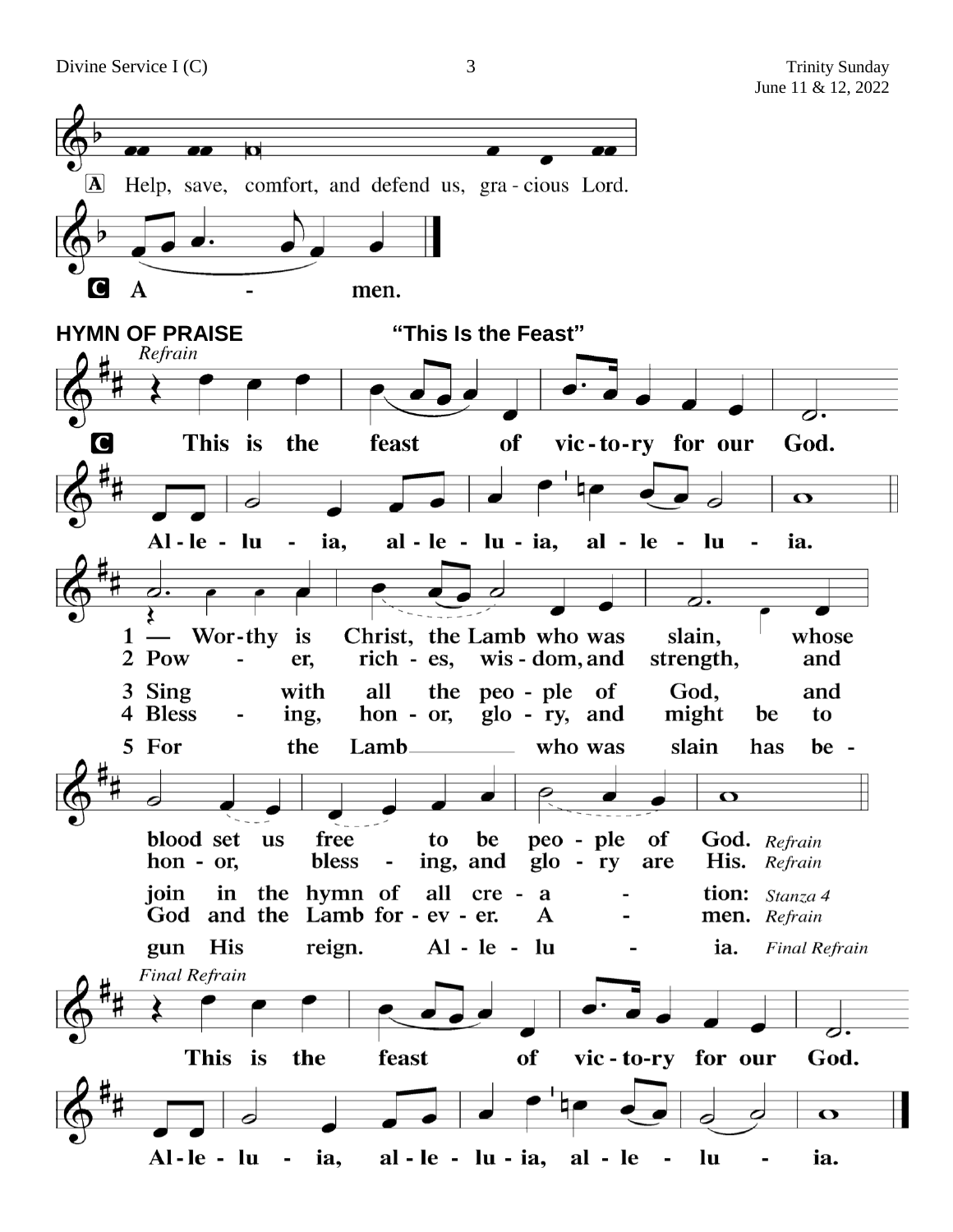

3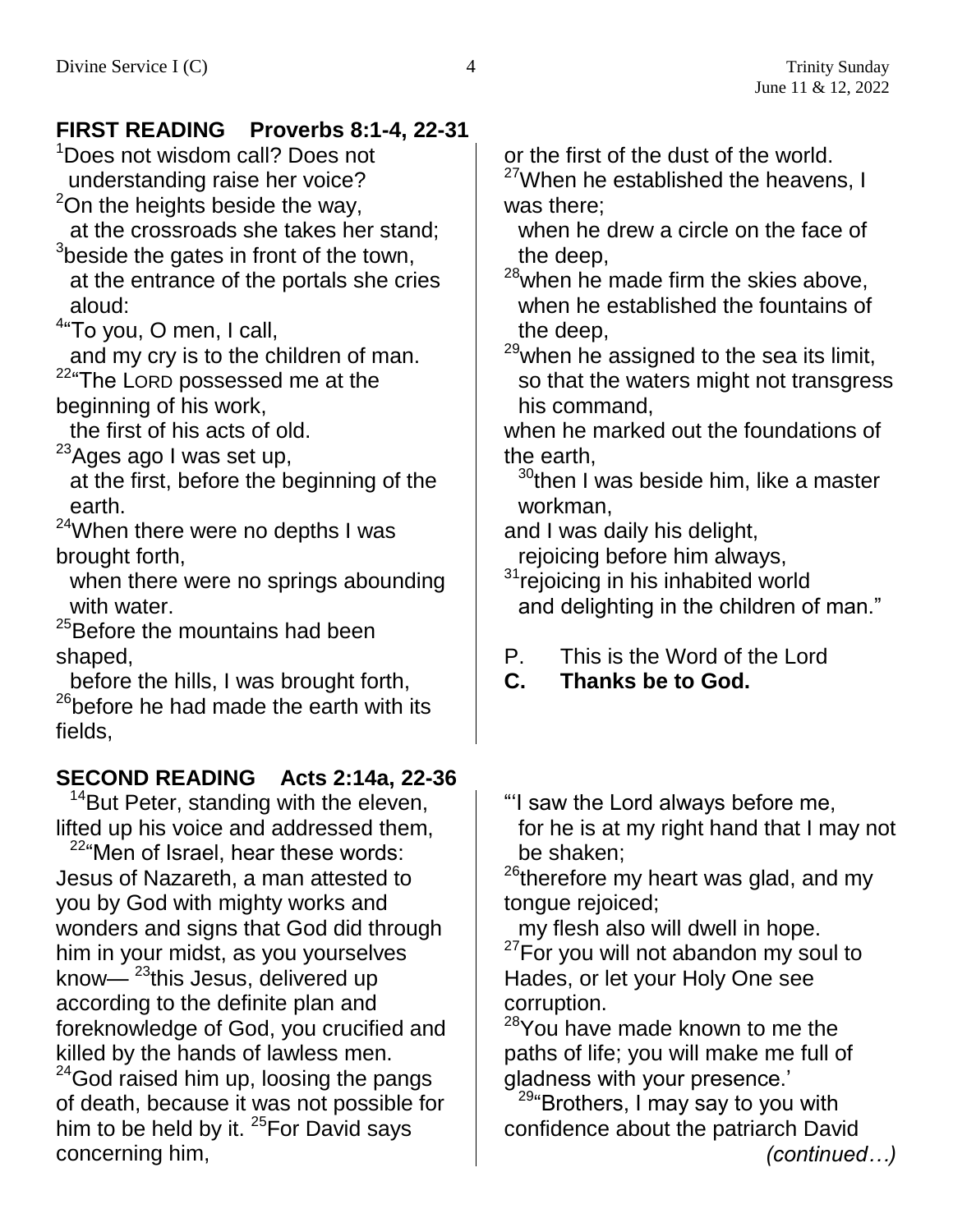### **FIRST READING Proverbs 8:1-4, 22-31**

<sup>1</sup>Does not wisdom call? Does not understanding raise her voice?

 $2$ On the heights beside the way,

at the crossroads she takes her stand;  $3$ beside the gates in front of the town,

at the entrance of the portals she cries aloud:

<sup>4</sup>"To you, O men, I call,

and my cry is to the children of man. <sup>22</sup>"The LORD possessed me at the

beginning of his work,

the first of his acts of old.

 $23$ Ages ago I was set up,

at the first, before the beginning of the earth.

<sup>24</sup>When there were no depths I was brought forth,

when there were no springs abounding with water.

<sup>25</sup>Before the mountains had been shaped,

before the hills, I was brought forth,  $26$ before he had made the earth with its fields,

## **SECOND READING Acts 2:14a, 22-36**

<sup>14</sup>But Peter, standing with the eleven, lifted up his voice and addressed them,

<sup>22</sup>"Men of Israel, hear these words: Jesus of Nazareth, a man attested to you by God with mighty works and wonders and signs that God did through him in your midst, as you yourselves know— $23$ this Jesus, delivered up according to the definite plan and foreknowledge of God, you crucified and killed by the hands of lawless men.

<sup>24</sup>God raised him up, loosing the pangs of death, because it was not possible for him to be held by it. <sup>25</sup>For David says concerning him,

or the first of the dust of the world.

<sup>27</sup>When he established the heavens, I was there;

when he drew a circle on the face of the deep,

 $28$ when he made firm the skies above, when he established the fountains of the deep,

 $29$ when he assigned to the sea its limit, so that the waters might not transgress his command,

when he marked out the foundations of the earth,

 $30$ <sup>30</sup>then I was beside him, like a master workman,

and I was daily his delight, rejoicing before him always,

<sup>31</sup>rejoicing in his inhabited world and delighting in the children of man."

- P. This is the Word of the Lord
- **C. Thanks be to God.**
- "'I saw the Lord always before me, for he is at my right hand that I may not be shaken;

<sup>26</sup>therefore my heart was glad, and my tongue rejoiced;

my flesh also will dwell in hope. <sup>27</sup>For you will not abandon my soul to Hades, or let your Holy One see corruption.

<sup>28</sup>You have made known to me the paths of life; you will make me full of gladness with your presence.'

 $29^{\circ}$ Brothers, I may say to you with confidence about the patriarch David *(continued…)*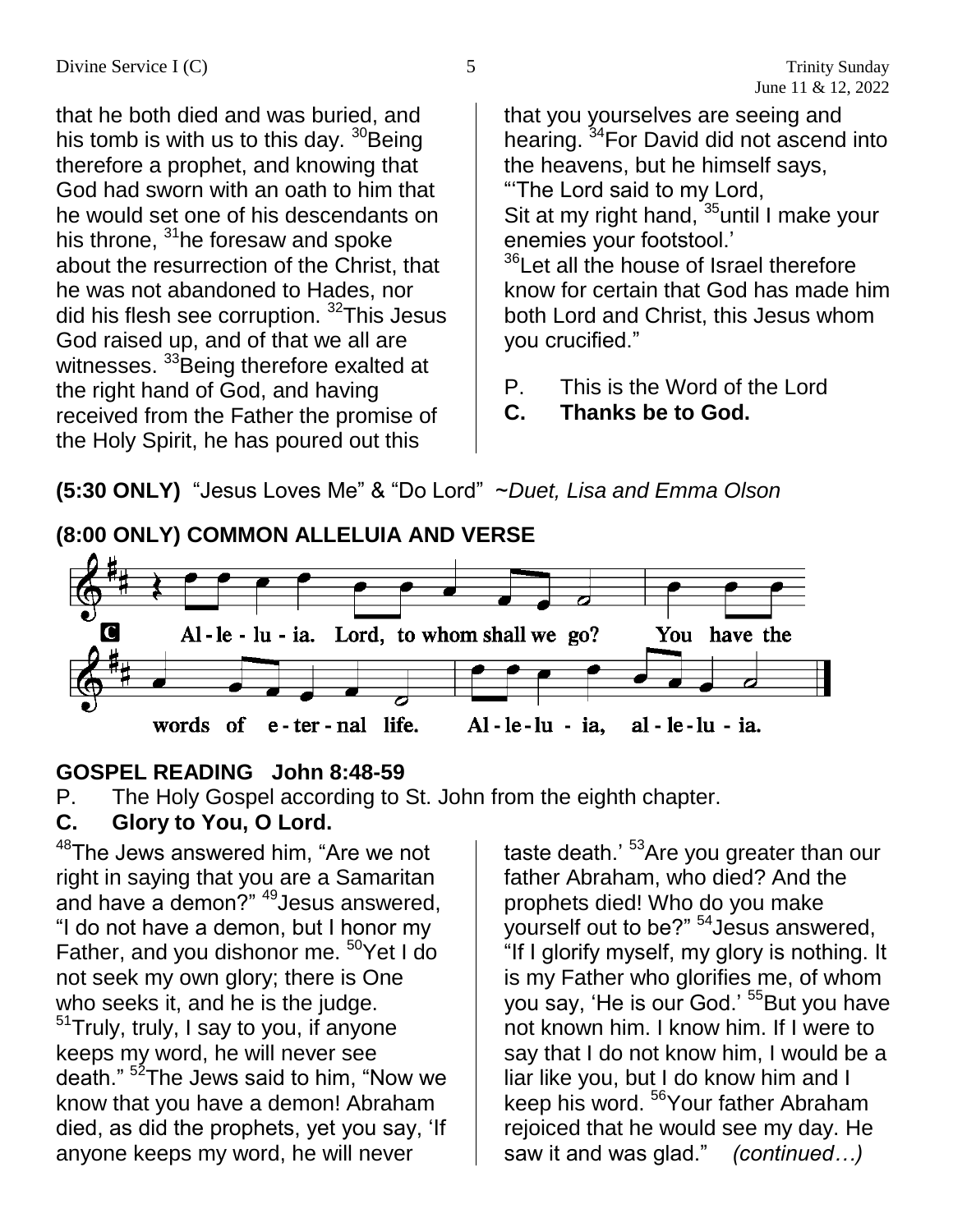that he both died and was buried, and his tomb is with us to this day.  $30$ Being therefore a prophet, and knowing that God had sworn with an oath to him that he would set one of his descendants on his throne,  $31$ he foresaw and spoke about the resurrection of the Christ, that he was not abandoned to Hades, nor did his flesh see corruption. <sup>32</sup>This Jesus God raised up, and of that we all are witnesses. <sup>33</sup>Being therefore exalted at the right hand of God, and having received from the Father the promise of the Holy Spirit, he has poured out this

that you yourselves are seeing and hearing. <sup>34</sup>For David did not ascend into the heavens, but he himself says, "'The Lord said to my Lord,

Sit at my right hand, <sup>35</sup>until I make your enemies your footstool.'

<sup>36</sup>Let all the house of Israel therefore know for certain that God has made him both Lord and Christ, this Jesus whom you crucified."

P. This is the Word of the Lord

**C. Thanks be to God.**

**(5:30 ONLY)** "Jesus Loves Me" & "Do Lord" ~*Duet, Lisa and Emma Olson*



## **GOSPEL READING John 8:48-59**

P. The Holy Gospel according to St. John from the eighth chapter.

## **C. Glory to You, O Lord.**

<sup>48</sup>The Jews answered him, "Are we not right in saying that you are a Samaritan and have a demon?" <sup>49</sup>Jesus answered, "I do not have a demon, but I honor my Father, and you dishonor me. <sup>50</sup>Yet I do not seek my own glory; there is One who seeks it, and he is the judge. <sup>51</sup>Truly, truly, I say to you, if anyone keeps my word, he will never see death." <sup>52</sup>The Jews said to him, "Now we know that you have a demon! Abraham died, as did the prophets, yet you say, 'If anyone keeps my word, he will never

taste death.' <sup>53</sup>Are you greater than our father Abraham, who died? And the prophets died! Who do you make yourself out to be?" <sup>54</sup>Jesus answered, "If I glorify myself, my glory is nothing. It is my Father who glorifies me, of whom you say, 'He is our God.' <sup>55</sup>But you have not known him. I know him. If I were to say that I do not know him, I would be a liar like you, but I do know him and I keep his word. <sup>56</sup> Your father Abraham rejoiced that he would see my day. He saw it and was glad." *(continued…)*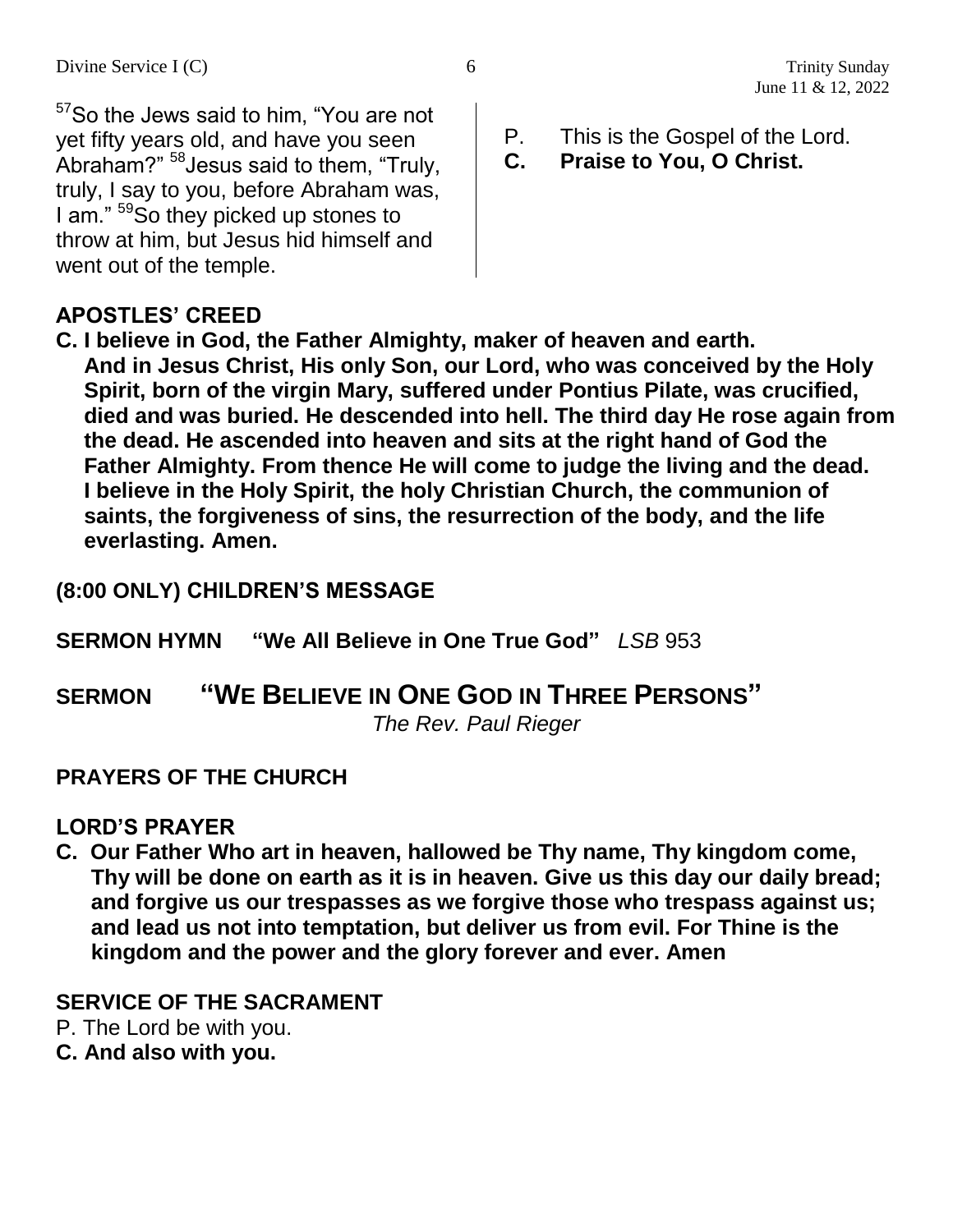<sup>57</sup>So the Jews said to him, "You are not yet fifty years old, and have you seen Abraham?" <sup>58</sup>Jesus said to them, "Truly, truly, I say to you, before Abraham was, I am." <sup>59</sup>So they picked up stones to throw at him, but Jesus hid himself and went out of the temple.

- P. This is the Gospel of the Lord.
- **C. Praise to You, O Christ.**

#### **APOSTLES' CREED**

**C. I believe in God, the Father Almighty, maker of heaven and earth. And in Jesus Christ, His only Son, our Lord, who was conceived by the Holy Spirit, born of the virgin Mary, suffered under Pontius Pilate, was crucified, died and was buried. He descended into hell. The third day He rose again from the dead. He ascended into heaven and sits at the right hand of God the Father Almighty. From thence He will come to judge the living and the dead. I believe in the Holy Spirit, the holy Christian Church, the communion of saints, the forgiveness of sins, the resurrection of the body, and the life everlasting. Amen.**

#### **(8:00 ONLY) CHILDREN'S MESSAGE**

**SERMON HYMN "We All Believe in One True God"** *LSB* 953

## **SERMON "WE BELIEVE IN ONE GOD IN THREE PERSONS"**

*The Rev. Paul Rieger*

#### **PRAYERS OF THE CHURCH**

#### **LORD'S PRAYER**

**C. Our Father Who art in heaven, hallowed be Thy name, Thy kingdom come, Thy will be done on earth as it is in heaven. Give us this day our daily bread; and forgive us our trespasses as we forgive those who trespass against us; and lead us not into temptation, but deliver us from evil. For Thine is the kingdom and the power and the glory forever and ever. Amen**

#### **SERVICE OF THE SACRAMENT**

- P. The Lord be with you.
- **C. And also with you.**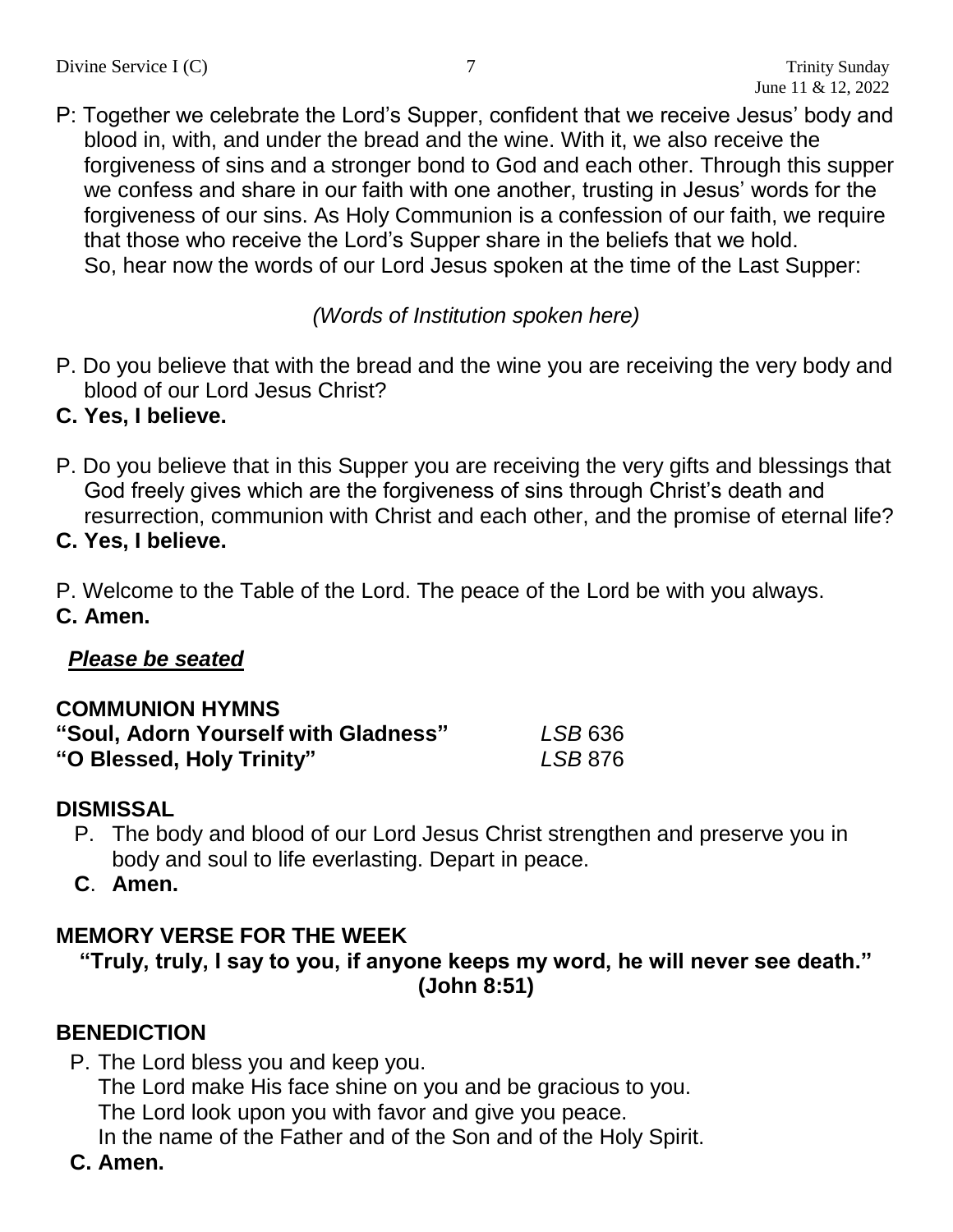P: Together we celebrate the Lord's Supper, confident that we receive Jesus' body and blood in, with, and under the bread and the wine. With it, we also receive the forgiveness of sins and a stronger bond to God and each other. Through this supper we confess and share in our faith with one another, trusting in Jesus' words for the forgiveness of our sins. As Holy Communion is a confession of our faith, we require that those who receive the Lord's Supper share in the beliefs that we hold. So, hear now the words of our Lord Jesus spoken at the time of the Last Supper:

*(Words of Institution spoken here)*

P. Do you believe that with the bread and the wine you are receiving the very body and blood of our Lord Jesus Christ?

#### **C. Yes, I believe.**

P. Do you believe that in this Supper you are receiving the very gifts and blessings that God freely gives which are the forgiveness of sins through Christ's death and resurrection, communion with Christ and each other, and the promise of eternal life?

**C. Yes, I believe.**

P. Welcome to the Table of the Lord. The peace of the Lord be with you always. **C. Amen.**

#### *Please be seated*

#### **COMMUNION HYMNS**

| "Soul, Adorn Yourself with Gladness" | LSB 636 |
|--------------------------------------|---------|
| "O Blessed, Holy Trinity"            | LSB 876 |

#### **DISMISSAL**

- P. The body and blood of our Lord Jesus Christ strengthen and preserve you in body and soul to life everlasting. Depart in peace.
- **C**. **Amen.**

#### **MEMORY VERSE FOR THE WEEK**

```
"Truly, truly, I say to you, if anyone keeps my word, he will never see death."
                     (John 8:51)
```
#### **BENEDICTION**

P. The Lord bless you and keep you.

The Lord make His face shine on you and be gracious to you.

The Lord look upon you with favor and give you peace.

In the name of the Father and of the Son and of the Holy Spirit.

**C. Amen.**